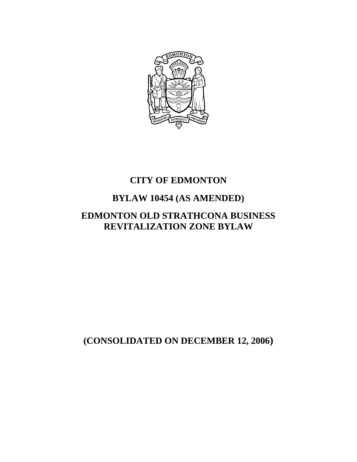

# **CITY OF EDMONTON**

# **BYLAW 10454 (AS AMENDED)**

# **EDMONTON OLD STRATHCONA BUSINESS REVITALIZATION ZONE BYLAW**

**(CONSOLIDATED ON DECEMBER 12, 2006)**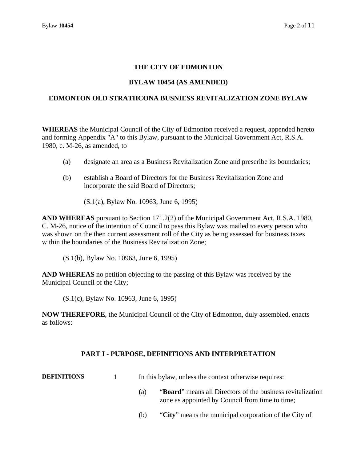# **THE CITY OF EDMONTON**

#### **BYLAW 10454 (AS AMENDED)**

#### **EDMONTON OLD STRATHCONA BUSNIESS REVITALIZATION ZONE BYLAW**

**WHEREAS** the Municipal Council of the City of Edmonton received a request, appended hereto and forming Appendix "A" to this Bylaw, pursuant to the Municipal Government Act, R.S.A. 1980, c. M-26, as amended, to

- (a) designate an area as a Business Revitalization Zone and prescribe its boundaries;
- (b) establish a Board of Directors for the Business Revitalization Zone and incorporate the said Board of Directors;

(S.1(a), Bylaw No. 10963, June 6, 1995)

**AND WHEREAS** pursuant to Section 171.2(2) of the Municipal Government Act, R.S.A. 1980, C. M-26, notice of the intention of Council to pass this Bylaw was mailed to every person who was shown on the then current assessment roll of the City as being assessed for business taxes within the boundaries of the Business Revitalization Zone;

(S.1(b), Bylaw No. 10963, June 6, 1995)

**AND WHEREAS** no petition objecting to the passing of this Bylaw was received by the Municipal Council of the City;

(S.1(c), Bylaw No. 10963, June 6, 1995)

**NOW THEREFORE**, the Municipal Council of the City of Edmonton, duly assembled, enacts as follows:

#### **PART I - PURPOSE, DEFINITIONS AND INTERPRETATION**

**DEFINITIONS** 1 In this bylaw, unless the context otherwise requires:

- (a) "**Board**" means all Directors of the business revitalization zone as appointed by Council from time to time;
- (b) "**City**" means the municipal corporation of the City of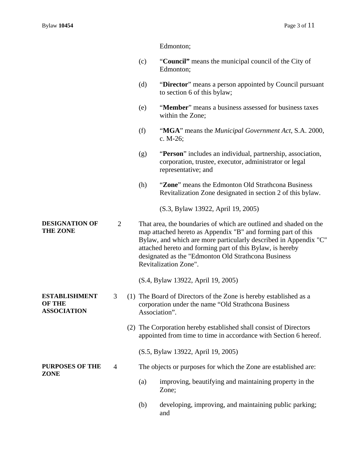Edmonton;

- (c) "**Council"** means the municipal council of the City of Edmonton;
- (d) "**Director**" means a person appointed by Council pursuant to section 6 of this bylaw;
- (e) "**Member**" means a business assessed for business taxes within the Zone;
- (f) "**MGA**" means the *Municipal Government Act*, S.A. 2000, c. M-26;
- (g) "**Person**" includes an individual, partnership, association, corporation, trustee, executor, administrator or legal representative; and
- (h) "**Zone**" means the Edmonton Old Strathcona Business Revitalization Zone designated in section 2 of this bylaw.

(S.3, Bylaw 13922, April 19, 2005)

**DESIGNATION OF THE ZONE**  2 That area, the boundaries of which are outlined and shaded on the map attached hereto as Appendix "B" and forming part of this Bylaw, and which are more particularly described in Appendix "C" attached hereto and forming part of this Bylaw, is hereby designated as the "Edmonton Old Strathcona Business Revitalization Zone".

(S.4, Bylaw 13922, April 19, 2005)

- 3 (1) The Board of Directors of the Zone is hereby established as a corporation under the name "Old Strathcona Business Association".
	- (2) The Corporation hereby established shall consist of Directors appointed from time to time in accordance with Section 6 hereof.
		- (S.5, Bylaw 13922, April 19, 2005)

# 4 The objects or purposes for which the Zone are established are:

- (a) improving, beautifying and maintaining property in the Zone;
- (b) developing, improving, and maintaining public parking; and

**ESTABLISHMENT OF THE ASSOCIATION** 

**PURPOSES OF THE ZONE**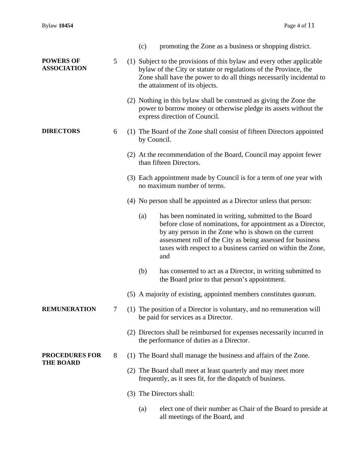|                                           |   | (c)                                                                                                          | promoting the Zone as a business or shopping district.                                                                                                                                                                                                                                                             |
|-------------------------------------------|---|--------------------------------------------------------------------------------------------------------------|--------------------------------------------------------------------------------------------------------------------------------------------------------------------------------------------------------------------------------------------------------------------------------------------------------------------|
| <b>POWERS OF</b><br><b>ASSOCIATION</b>    | 5 |                                                                                                              | (1) Subject to the provisions of this bylaw and every other applicable<br>bylaw of the City or statute or regulations of the Province, the<br>Zone shall have the power to do all things necessarily incidental to<br>the attainment of its objects.                                                               |
|                                           |   |                                                                                                              | (2) Nothing in this bylaw shall be construed as giving the Zone the<br>power to borrow money or otherwise pledge its assets without the<br>express direction of Council.                                                                                                                                           |
| <b>DIRECTORS</b>                          | 6 | by Council.                                                                                                  | (1) The Board of the Zone shall consist of fifteen Directors appointed                                                                                                                                                                                                                                             |
|                                           |   |                                                                                                              | (2) At the recommendation of the Board, Council may appoint fewer<br>than fifteen Directors.                                                                                                                                                                                                                       |
|                                           |   |                                                                                                              | (3) Each appointment made by Council is for a term of one year with<br>no maximum number of terms.                                                                                                                                                                                                                 |
|                                           |   |                                                                                                              | (4) No person shall be appointed as a Director unless that person:                                                                                                                                                                                                                                                 |
|                                           |   | (a)                                                                                                          | has been nominated in writing, submitted to the Board<br>before close of nominations, for appointment as a Director,<br>by any person in the Zone who is shown on the current<br>assessment roll of the City as being assessed for business<br>taxes with respect to a business carried on within the Zone,<br>and |
|                                           |   | (b)                                                                                                          | has consented to act as a Director, in writing submitted to<br>the Board prior to that person's appointment.                                                                                                                                                                                                       |
|                                           |   |                                                                                                              | (5) A majority of existing, appointed members constitutes quorum.                                                                                                                                                                                                                                                  |
| <b>REMUNERATION</b>                       | 7 | (1) The position of a Director is voluntary, and no remuneration will<br>be paid for services as a Director. |                                                                                                                                                                                                                                                                                                                    |
|                                           |   |                                                                                                              | (2) Directors shall be reimbursed for expenses necessarily incurred in<br>the performance of duties as a Director.                                                                                                                                                                                                 |
| <b>PROCEDURES FOR</b><br><b>THE BOARD</b> | 8 |                                                                                                              | (1) The Board shall manage the business and affairs of the Zone.                                                                                                                                                                                                                                                   |
|                                           |   |                                                                                                              | (2) The Board shall meet at least quarterly and may meet more<br>frequently, as it sees fit, for the dispatch of business.                                                                                                                                                                                         |
|                                           |   |                                                                                                              | (3) The Directors shall:                                                                                                                                                                                                                                                                                           |
|                                           |   | (a)                                                                                                          | elect one of their number as Chair of the Board to preside at<br>all meetings of the Board, and                                                                                                                                                                                                                    |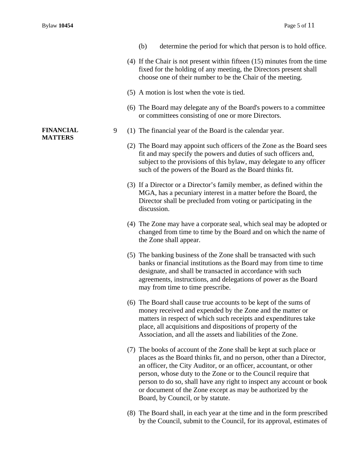**FINANCIAL MATTERS** 

| (b) | determine the period for which that person is to hold office. |  |
|-----|---------------------------------------------------------------|--|
|     |                                                               |  |

- (4) If the Chair is not present within fifteen (15) minutes from the time fixed for the holding of any meeting, the Directors present shall choose one of their number to be the Chair of the meeting.
- (5) A motion is lost when the vote is tied.
- (6) The Board may delegate any of the Board's powers to a committee or committees consisting of one or more Directors.
- 9 (1) The financial year of the Board is the calendar year.
	- (2) The Board may appoint such officers of the Zone as the Board sees fit and may specify the powers and duties of such officers and, subject to the provisions of this bylaw, may delegate to any officer such of the powers of the Board as the Board thinks fit.
	- (3) If a Director or a Director's family member, as defined within the MGA, has a pecuniary interest in a matter before the Board, the Director shall be precluded from voting or participating in the discussion.
	- (4) The Zone may have a corporate seal, which seal may be adopted or changed from time to time by the Board and on which the name of the Zone shall appear.
	- (5) The banking business of the Zone shall be transacted with such banks or financial institutions as the Board may from time to time designate, and shall be transacted in accordance with such agreements, instructions, and delegations of power as the Board may from time to time prescribe.
	- (6) The Board shall cause true accounts to be kept of the sums of money received and expended by the Zone and the matter or matters in respect of which such receipts and expenditures take place, all acquisitions and dispositions of property of the Association, and all the assets and liabilities of the Zone.
	- (7) The books of account of the Zone shall be kept at such place or places as the Board thinks fit, and no person, other than a Director, an officer, the City Auditor, or an officer, accountant, or other person, whose duty to the Zone or to the Council require that person to do so, shall have any right to inspect any account or book or document of the Zone except as may be authorized by the Board, by Council, or by statute.
	- (8) The Board shall, in each year at the time and in the form prescribed by the Council, submit to the Council, for its approval, estimates of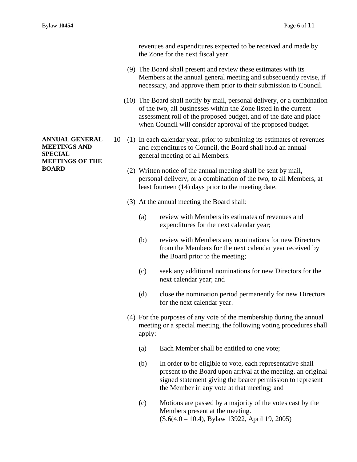revenues and expenditures expected to be received and made by the Zone for the next fiscal year.

- (9) The Board shall present and review these estimates with its Members at the annual general meeting and subsequently revise, if necessary, and approve them prior to their submission to Council.
- (10) The Board shall notify by mail, personal delivery, or a combination of the two, all businesses within the Zone listed in the current assessment roll of the proposed budget, and of the date and place when Council will consider approval of the proposed budget.
- 10 (1) In each calendar year, prior to submitting its estimates of revenues and expenditures to Council, the Board shall hold an annual general meeting of all Members.
	- (2) Written notice of the annual meeting shall be sent by mail, personal delivery, or a combination of the two, to all Members, at least fourteen (14) days prior to the meeting date.
	- (3) At the annual meeting the Board shall:
		- (a) review with Members its estimates of revenues and expenditures for the next calendar year;
		- (b) review with Members any nominations for new Directors from the Members for the next calendar year received by the Board prior to the meeting;
		- (c) seek any additional nominations for new Directors for the next calendar year; and
		- (d) close the nomination period permanently for new Directors for the next calendar year.
	- (4) For the purposes of any vote of the membership during the annual meeting or a special meeting, the following voting procedures shall apply:
		- (a) Each Member shall be entitled to one vote;
		- (b) In order to be eligible to vote, each representative shall present to the Board upon arrival at the meeting, an original signed statement giving the bearer permission to represent the Member in any vote at that meeting; and
		- (c) Motions are passed by a majority of the votes cast by the Members present at the meeting. (S.6(4.0 – 10.4), Bylaw 13922, April 19, 2005)

**ANNUAL GENERAL MEETINGS AND SPECIAL MEETINGS OF THE BOARD**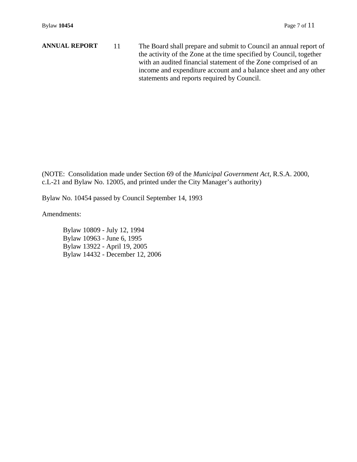**ANNUAL REPORT** 11 The Board shall prepare and submit to Council an annual report of the activity of the Zone at the time specified by Council, together with an audited financial statement of the Zone comprised of an income and expenditure account and a balance sheet and any other statements and reports required by Council.

(NOTE: Consolidation made under Section 69 of the *Municipal Government Act,* R.S.A. 2000, c.L-21 and Bylaw No. 12005, and printed under the City Manager's authority)

Bylaw No. 10454 passed by Council September 14, 1993

Amendments:

 Bylaw 10809 - July 12, 1994 Bylaw 10963 - June 6, 1995 Bylaw 13922 - April 19, 2005 Bylaw 14432 - December 12, 2006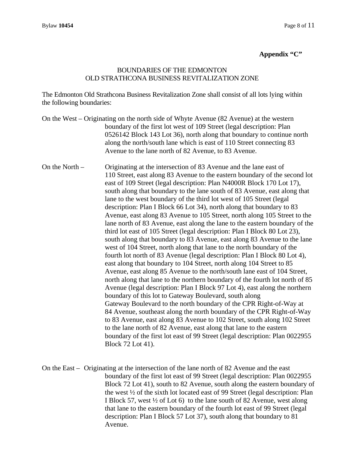## **Appendix "C"**

#### BOUNDARIES OF THE EDMONTON OLD STRATHCONA BUSINESS REVITALIZATION ZONE

The Edmonton Old Strathcona Business Revitalization Zone shall consist of all lots lying within the following boundaries:

- On the West Originating on the north side of Whyte Avenue (82 Avenue) at the western boundary of the first lot west of 109 Street (legal description: Plan 0526142 Block 143 Lot 36), north along that boundary to continue north along the north/south lane which is east of 110 Street connecting 83 Avenue to the lane north of 82 Avenue, to 83 Avenue.
- On the North Originating at the intersection of 83 Avenue and the lane east of 110 Street, east along 83 Avenue to the eastern boundary of the second lot east of 109 Street (legal description: Plan N4000R Block 170 Lot 17), south along that boundary to the lane south of 83 Avenue, east along that lane to the west boundary of the third lot west of 105 Street (legal description: Plan I Block 66 Lot 34), north along that boundary to 83 Avenue, east along 83 Avenue to 105 Street, north along 105 Street to the lane north of 83 Avenue, east along the lane to the eastern boundary of the third lot east of 105 Street (legal description: Plan I Block 80 Lot 23), south along that boundary to 83 Avenue, east along 83 Avenue to the lane west of 104 Street, north along that lane to the north boundary of the fourth lot north of 83 Avenue (legal description: Plan I Block 80 Lot 4), east along that boundary to 104 Street, north along 104 Street to 85 Avenue, east along 85 Avenue to the north/south lane east of 104 Street, north along that lane to the northern boundary of the fourth lot north of 85 Avenue (legal description: Plan I Block 97 Lot 4), east along the northern boundary of this lot to Gateway Boulevard, south along Gateway Boulevard to the north boundary of the CPR Right-of-Way at 84 Avenue, southeast along the north boundary of the CPR Right-of-Way to 83 Avenue, east along 83 Avenue to 102 Street, south along 102 Street to the lane north of 82 Avenue, east along that lane to the eastern boundary of the first lot east of 99 Street (legal description: Plan 0022955 Block 72 Lot 41).
- On the East Originating at the intersection of the lane north of 82 Avenue and the east boundary of the first lot east of 99 Street (legal description: Plan 0022955 Block 72 Lot 41), south to 82 Avenue, south along the eastern boundary of the west ½ of the sixth lot located east of 99 Street (legal description: Plan I Block 57, west ½ of Lot 6) to the lane south of 82 Avenue, west along that lane to the eastern boundary of the fourth lot east of 99 Street (legal description: Plan I Block 57 Lot 37), south along that boundary to 81 Avenue.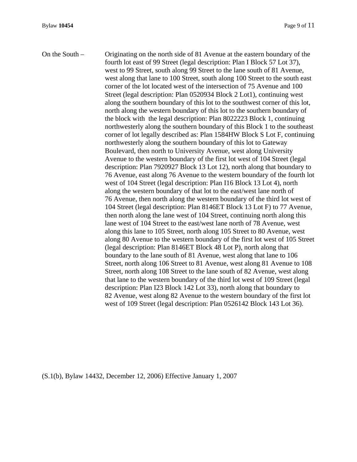On the South – Originating on the north side of 81 Avenue at the eastern boundary of the fourth lot east of 99 Street (legal description: Plan I Block 57 Lot 37), west to 99 Street, south along 99 Street to the lane south of 81 Avenue, west along that lane to 100 Street, south along 100 Street to the south east corner of the lot located west of the intersection of 75 Avenue and 100 Street (legal description: Plan 0520934 Block 2 Lot1), continuing west along the southern boundary of this lot to the southwest corner of this lot, north along the western boundary of this lot to the southern boundary of the block with the legal description: Plan 8022223 Block 1, continuing northwesterly along the southern boundary of this Block 1 to the southeast corner of lot legally described as: Plan 1584HW Block S Lot F, continuing northwesterly along the southern boundary of this lot to Gateway Boulevard, then north to University Avenue, west along University Avenue to the western boundary of the first lot west of 104 Street (legal description: Plan 7920927 Block 13 Lot 12), north along that boundary to 76 Avenue, east along 76 Avenue to the western boundary of the fourth lot west of 104 Street (legal description: Plan I16 Block 13 Lot 4), north along the western boundary of that lot to the east/west lane north of 76 Avenue, then north along the western boundary of the third lot west of 104 Street (legal description: Plan 8146ET Block 13 Lot F) to 77 Avenue, then north along the lane west of 104 Street, continuing north along this lane west of 104 Street to the east/west lane north of 78 Avenue, west along this lane to 105 Street, north along 105 Street to 80 Avenue, west along 80 Avenue to the western boundary of the first lot west of 105 Street (legal description: Plan 8146ET Block 48 Lot P), north along that boundary to the lane south of 81 Avenue, west along that lane to 106 Street, north along 106 Street to 81 Avenue, west along 81 Avenue to 108 Street, north along 108 Street to the lane south of 82 Avenue, west along that lane to the western boundary of the third lot west of 109 Street (legal description: Plan I23 Block 142 Lot 33), north along that boundary to 82 Avenue, west along 82 Avenue to the western boundary of the first lot west of 109 Street (legal description: Plan 0526142 Block 143 Lot 36).

(S.1(b), Bylaw 14432, December 12, 2006) Effective January 1, 2007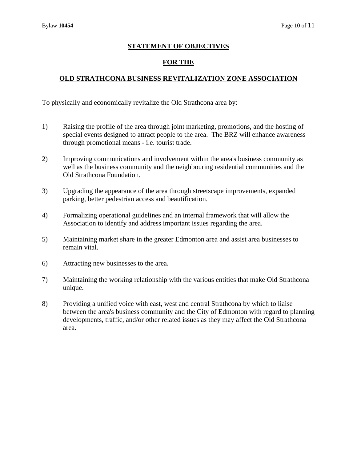## **STATEMENT OF OBJECTIVES**

# **FOR THE**

# **OLD STRATHCONA BUSINESS REVITALIZATION ZONE ASSOCIATION**

To physically and economically revitalize the Old Strathcona area by:

- 1) Raising the profile of the area through joint marketing, promotions, and the hosting of special events designed to attract people to the area. The BRZ will enhance awareness through promotional means - i.e. tourist trade.
- 2) Improving communications and involvement within the area's business community as well as the business community and the neighbouring residential communities and the Old Strathcona Foundation.
- 3) Upgrading the appearance of the area through streetscape improvements, expanded parking, better pedestrian access and beautification.
- 4) Formalizing operational guidelines and an internal framework that will allow the Association to identify and address important issues regarding the area.
- 5) Maintaining market share in the greater Edmonton area and assist area businesses to remain vital.
- 6) Attracting new businesses to the area.
- 7) Maintaining the working relationship with the various entities that make Old Strathcona unique.
- 8) Providing a unified voice with east, west and central Strathcona by which to liaise between the area's business community and the City of Edmonton with regard to planning developments, traffic, and/or other related issues as they may affect the Old Strathcona area.